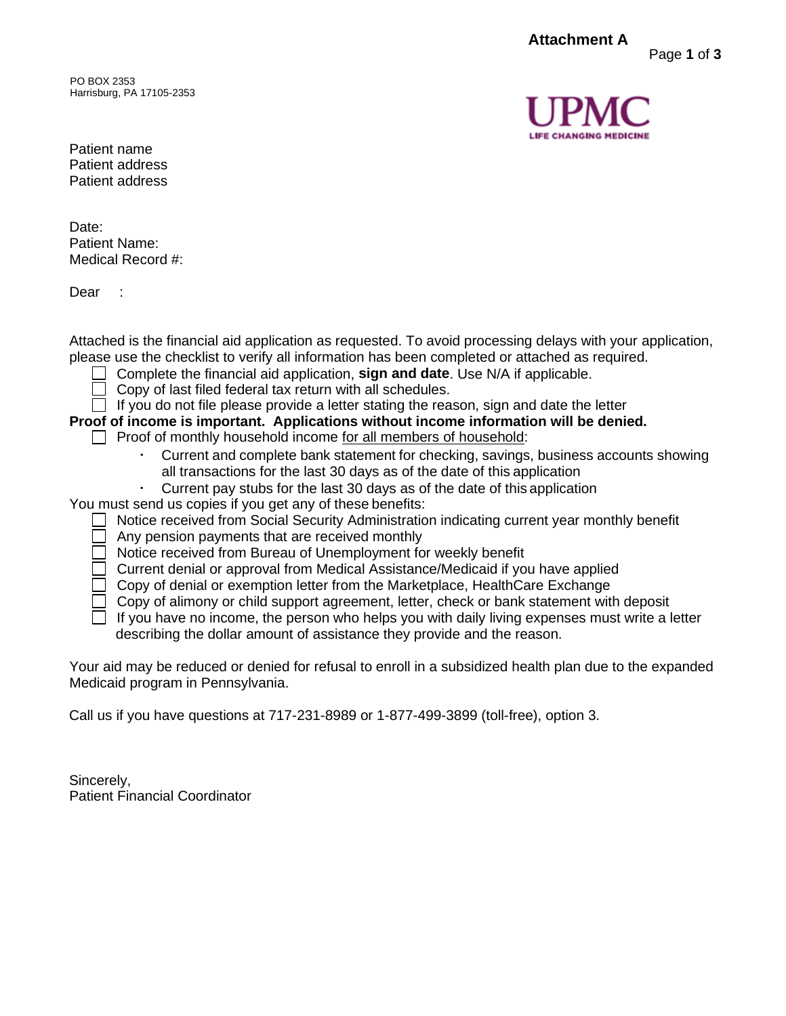**Attachment A**

PO BOX 2353 Harrisburg, PA 17105-2353 Page **1** of **3**

Patient name Patient address Patient address

Date: Patient Name: Medical Record #:

Dear :

Attached is the financial aid application as requested. To avoid processing delays with your application, please use the checklist to verify all information has been completed or attached as required.

- Complete the financial aid application, **sign and date**. Use N/A if applicable.
	- Copy of last filed federal tax return with all schedules.
- $\Box$  If you do not file please provide a letter stating the reason, sign and date the letter
- **Proof of income is important. Applications without income information will be denied.**
	- $\Box$  Proof of monthly household income for all members of household:
		- Current and complete bank statement for checking, savings, business accounts showing all transactions for the last 30 days as of the date of this application
		- · Current pay stubs for the last 30 days as of the date of this application
- You must send us copies if you get any of these benefits:
	- Notice received from Social Security Administration indicating current year monthly benefit
		- Any pension payments that are received monthly
		- Notice received from Bureau of Unemployment for weekly benefit
		- Current denial or approval from Medical Assistance/Medicaid if you have applied
		- $\Box$  Copy of denial or exemption letter from the Marketplace, HealthCare Exchange
		- $\Box$  Copy of alimony or child support agreement, letter, check or bank statement with deposit
		- $\Box$  If you have no income, the person who helps you with daily living expenses must write a letter describing the dollar amount of assistance they provide and the reason.

Your aid may be reduced or denied for refusal to enroll in a subsidized health plan due to the expanded Medicaid program in Pennsylvania.

Call us if you have questions at 717-231-8989 or 1-877-499-3899 (toll-free), option 3.

Sincerely, Patient Financial Coordinator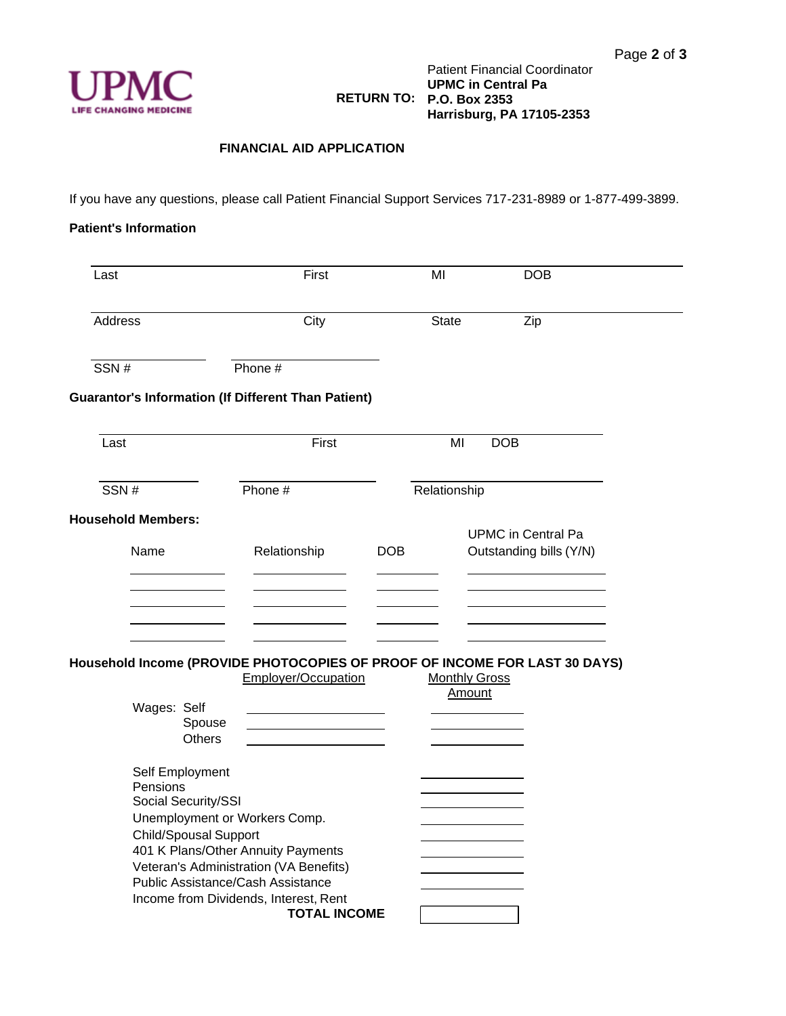

## **FINANCIAL AID APPLICATION**

If you have any questions, please call Patient Financial Support Services 717-231-8989 or 1-877-499-3899.

## **Patient's Information**

| Last                              |                                        | First                                                                                                                                       |            | MI           | <b>DOB</b>                                           |  |
|-----------------------------------|----------------------------------------|---------------------------------------------------------------------------------------------------------------------------------------------|------------|--------------|------------------------------------------------------|--|
| Address                           |                                        | City                                                                                                                                        |            | <b>State</b> | Zip                                                  |  |
| SSN#                              |                                        | Phone #                                                                                                                                     |            |              |                                                      |  |
|                                   |                                        | <b>Guarantor's Information (If Different Than Patient)</b>                                                                                  |            |              |                                                      |  |
| Last                              |                                        | First                                                                                                                                       |            | ΜI           | <b>DOB</b>                                           |  |
| SSN#                              |                                        | Phone #                                                                                                                                     |            | Relationship |                                                      |  |
| <b>Household Members:</b><br>Name |                                        | Relationship                                                                                                                                | <b>DOB</b> |              | <b>UPMC</b> in Central Pa<br>Outstanding bills (Y/N) |  |
|                                   |                                        |                                                                                                                                             |            |              |                                                      |  |
| Wages: Self                       |                                        | Household Income (PROVIDE PHOTOCOPIES OF PROOF OF INCOME FOR LAST 30 DAYS)<br>Employer/Occupation                                           |            |              | <b>Monthly Gross</b><br>Amount                       |  |
|                                   | Spouse<br>Others                       |                                                                                                                                             |            |              |                                                      |  |
| Pensions                          | Self Employment<br>Social Security/SSI |                                                                                                                                             |            |              |                                                      |  |
|                                   | <b>Child/Spousal Support</b>           | Unemployment or Workers Comp.<br>401 K Plans/Other Annuity Payments                                                                         |            |              |                                                      |  |
|                                   |                                        | Veteran's Administration (VA Benefits)<br>Public Assistance/Cash Assistance<br>Income from Dividends, Interest, Rent<br><b>TOTAL INCOME</b> |            |              |                                                      |  |